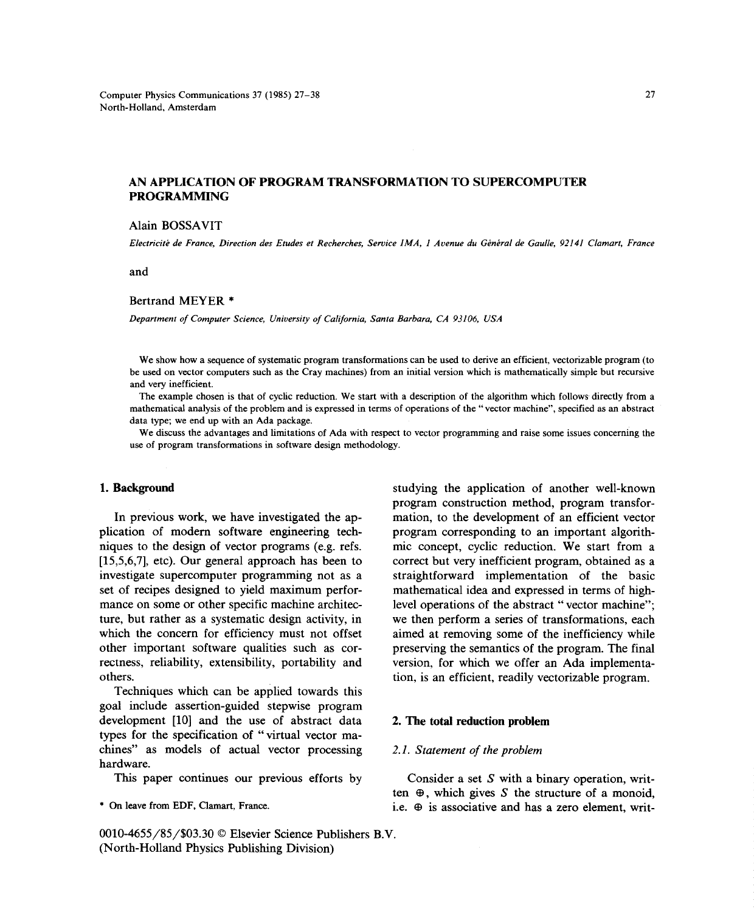# **AN APPLICATION OF PROGRAM TRANSFORMATION TO SUPERCOMPUTER PROGRAMMING**

# Alain BOSSAVIT

Electricité de France, Direction des Etudes et Recherches, Service IMA, 1 Avenue du Général de Gaulle, 92141 Clamart, France

and

### Bertrand MEYER \*

*Department of Computer Science, University of California, Santa Barbara, CA 93106, USA*

We show how a sequence of systematic program transformations can be used to derive an efficient, vectorizable program (to be used on vector computers such as the Cray machines) from an initial version which is mathematically simple but recursive and very inefficient.

The example chosen is that of cyclic reduction. We start with a description of the algorithm which follows directly from a mathematical analysis of the problem and is expressed in terms of operations of the "vector machine", specified as an abstract data type; we end up with an Ada package.

We discuss the advantages and limitations of Ada with respect to vector programming and raise some issues concerning the use of program transformations in software design methodology.

plication of modern software engineering tech- program corresponding to an important algorithniques to the design of vector programs (e.g. refs. mic concept, cyclic reduction. We start from a [15,5,6,7], etc). Our general approach has been to correct but very inefficient program, obtained as a set of recipes designed to yield maximum perfor- mathematical idea and expressed in terms of highmance on some or other specific machine architec- level operations of the abstract "vector machine"; ture, but rather as a systematic design activity, in we then perform a series of transformations, each which the concern for efficiency must not offset aimed at removing some of the inefficiency while other important software qualities such as cor- preserving the semantics of the program. The final rectness, reliability, extensibility, portability and version, for which we offer an Ada implementa-

Techniques which can be applied towards this goal include assertion-guided stepwise program development [10] and the use of abstract data 2. **The** total reduction **problem** types for the specification of "virtual vector machines" as models of actual vector processing 2.1. Statement of the problem hardware.

0010-4655/85/\$03.30 © Elsevier Science Publishers B.V. (North-Holland Physics Publishing Division)

**1. Background** studying the application of another well-known program construction method, program transfor-In previous work, we have investigated the ap- mation, to the development of an efficient vector investigate supercomputer programming not as a straightforward implementation of the basic others. tion, is an efficient, readily vectorizable program.

This paper continues our previous efforts by Consider a set *S* with a binary operation, written  $\oplus$ , which gives *S* the structure of a monoid, \* On leave from EDF, Clamart, France. i.e.  $\oplus$  is associative and has a zero element, writ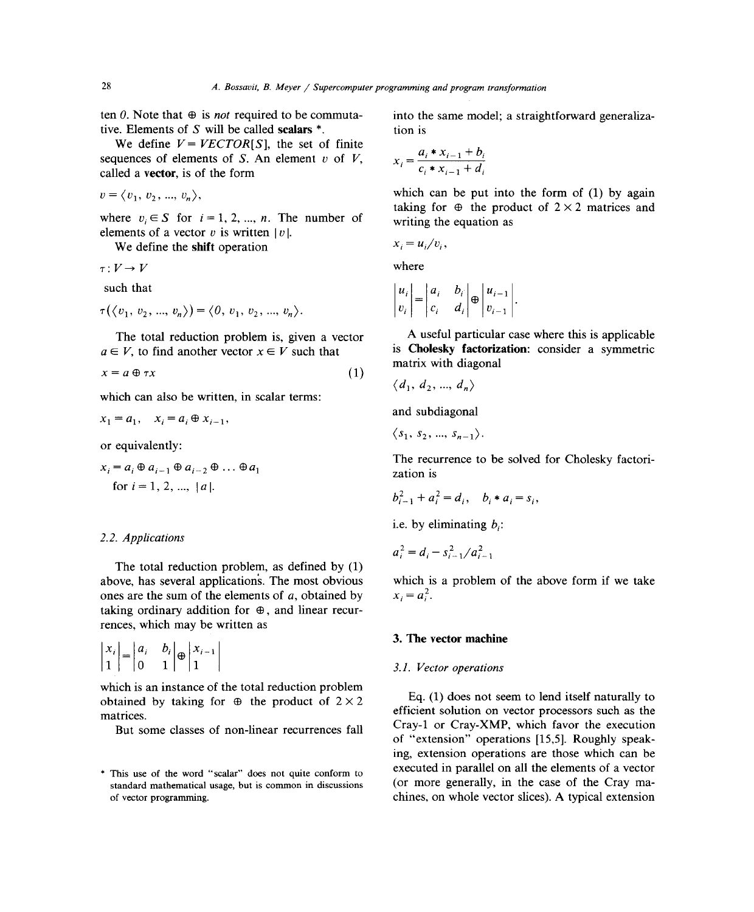ten  $\theta$ . Note that  $\theta$  is *not* required to be commuta- into the same model; a straightforward generalizative. Elements of *S* will be called scalars \*. tion is

We define  $V = VECTOR[S]$ , the set of finite sequences of elements of *S*. An element *v* of *V*,  $\chi$ called a vector, is of the form  $v = (n_1, n_2, \ldots, n_k)$  which can be put into the form of (1) by again

$$
v = \langle v_1, v_2, ..., v_n \rangle,
$$

where  $v_i \in S$  for  $i = 1, 2, ..., n$ . The number of writing the equation as elements of a vector  $v$  is written  $|v|$ .

We define the shift operation

 $T:V\to V$  where

$$
\tau(\langle v_1, v_2, ..., v_n \rangle) = \langle 0, v_1, v_2, ..., v_n \rangle.
$$
  $|v_i| |c_i | d_i | v_{i-1}$ 

 $a \in V$ , to find another vector  $x \in V$  such that

$$
x = a \oplus \tau x \tag{1}
$$

which can also be written, in scalar terms:

$$
x_1 = a_1, \quad x_i = a_i \oplus x_{i-1},
$$

or equivalently:

$$
x_i = a_i \oplus a_{i-1} \oplus a_{i-2} \oplus \dots \oplus a_1
$$
  
for  $i = 1, 2, ..., |a|$ .

### *2.2. Applications*

The total reduction problem, as defined by (1) above, has several application's. The most obvious which is a problem of the above form if we take ones are the sum of the elements of *a*, obtained by  $x_i = a_i^2$ . taking ordinary addition for  $\oplus$ , and linear recurrences, which may be written as

$$
\begin{vmatrix} x_i \\ 1 \end{vmatrix} = \begin{vmatrix} a_i & b_i \\ 0 & 1 \end{vmatrix} \oplus \begin{vmatrix} x_{i-1} \\ 1 \end{vmatrix}
$$

which is an instance of the total reduction problem<br>obtained by taking for  $\oplus$  the product of  $2 \times 2$ obtained by taking for  $\oplus$  the product of  $2 \times 2$  Eq. (1) does not seem to lend itself naturally to efficient solution on vector processors such as the

$$
x_i = \frac{a_i * x_{i-1} + b_i}{c_i * x_{i-1} + d_i}
$$

 $v = \langle v_1, v_2, ..., v_n \rangle$ ,<br>
which can be put into the form of (1) by again taking for  $\oplus$  the product of  $2 \times 2$  matrices and

$$
x_i = u_i/v_i,
$$

such that  
\n
$$
\begin{vmatrix} u_i \\ v_i \end{vmatrix} = \begin{vmatrix} a_i & b_i \\ c_i & d_i \end{vmatrix} \oplus \begin{vmatrix} u_{i-1} \\ v_{i-1} \end{vmatrix}.
$$

The total reduction problem is, given a vector  $A$  useful particular case where this is applicable<br>EV to find another vector  $x \in V$  such that is **Cholesky factorization**: consider a symmetric matrix with diagonal

$$
\langle d_1, d_2, ..., d_n \rangle
$$

and subdiagonal

$$
\left\langle s_{1},\,s_{2},\,...,\,s_{n-1}\right\rangle
$$

The recurrence to be solved for Cholesky factorization is

$$
b_{i-1}^2 + a_i^2 = d_i, \quad b_i * a_i = s_i,
$$

i.e. by eliminating  $b_i$ :

$$
a_i^2 = d_i - s_{i-1}^2 / a_{i-1}^2
$$

# 3. The vector machine

### <sup>1</sup> 0 <sup>1</sup> <sup>1</sup> *3.1. Vector operations*

Euroces.<br>But some classes of non-linear recurrences fall Cray-1 or Cray-XMP, which favor the execution But some classes of non-linear recurrences fall of "extension" operations [15,5]. Roughly speaking, extension operations are those which can be executed in parallel on all the elements of a vector \* This use of the word "scalar" does not quite conform to the elements of a vector standard mathematical usage, but is common in discussions (or more generally, in the case of the Cray mastandard mathematical usage, but is common in discussions (or more generally, in the case of the Cray maof vector programming. chines, on whole vector slices). A typical extension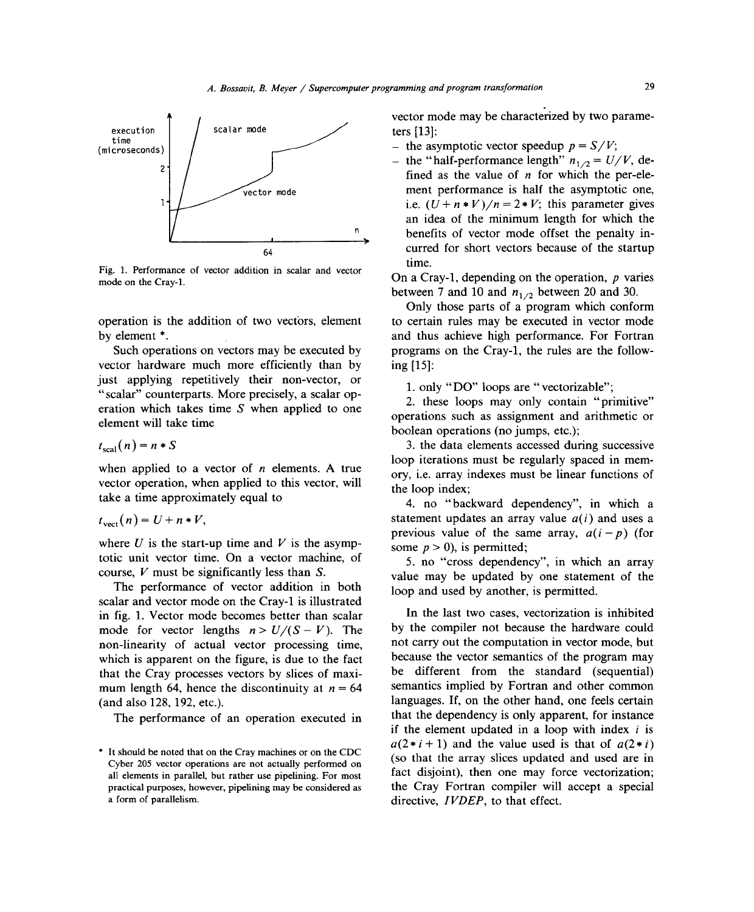

Fig. 1. Performance of vector addition in scalar and vector On a Cray-1, depending on the operation, *p* varies mode on the Cray-1 mode on the Cray-i.

vector hardware much more efficiently than by just applying repetitively their non-vector, or just applying repetitively their non-vector, or i.e. only "DO" loops are "vectorizable";<br>"scalar" counterparts. More precisely, a scalar op-<br>2. these loops may only contain "primitive" "scalar" counterparts. More precisely, a scalar op-2. these ioops may only contain "primitive" eration which takes time *<sup>S</sup>* when applied to one

$$
t_{\rm scal}(n) = n * S
$$

when applied to a vector of *<sup>n</sup>* elements. A true vector operation, when applied to this vector, will the loop index;<br>take a time approximately equal to

$$
t_{\text{vect}}(n) = U + n * V,
$$

where *U* is the start-up time and *V* is the asymp-<br>totic unit vector time. On a vector machine, of  $\frac{5}{2}$  no "cross dependent totic unit vector time. On a vector machine, of *5.* no "cross dependency", in which an array course, V must be significantly less than S.

scalar and vector mode on the Cray-1 is illustrated in fig. 1. Vector mode becomes better than scalar In the last two cases, vectorization is inhibited<br>mode for vector lengths  $n > I/(S - V)$  The by the compiler not because the hardware could mode for vector lengths  $n > U/(S - V)$ . The by the compiler not because the hardware could<br>non-linearity of actual vector processing time not carry out the computation in vector mode, but non-linearity of actual vector processing time, not carry out the computation in vector mode, but<br>which is apparent on the figure is due to the fact because the vector semantics of the program may which is apparent on the figure, is due to the fact because the vector semantics of the program may<br>that the Cray processes vectors by slices of maxi-<br>be different from the standard (sequential) that the Cray processes vectors by slices of maxi-<br>mum length 64, hence the discontinuity at  $n = 64$  semantics implied by Fortran and other common mum length 64, hence the discontinuity at  $n = 64$  semantics implied by Fortran and other common (and also 128, 192, etc.).<br>anguages. If, on the other hand, one feels certain

vector mode may be characterized by two parame-

- 
- fined as the value of  $n$  for which the per-element performance is half the asymptotic one. vector mode ment performance is half-the asymptotic one,<br>i.e.  $(U+n*V)/n = 2*V$ ; this parameter gives an idea of the minimum length for which the benefits of vector mode offset the penalty ineurred for short vectors because of the startup<br>time.

between 7 and 10 and  $n_{1/2}$  between 20 and 30.

<sup>1</sup>/<sub>2</sub> between 20 and 30. Only those parts of a program which conform operation is the addition of two vectors, element to certain rules may be executed in vector mode<br>by element \*. <br>and thus achieve high performance. For Fortran element \*. and thus achieve high performance. For Fortran Such operations on vectors may be executed by programs on the Cray-1, the rules are the followprograms on the Cray-1, the rules are the follow-<br>ing [15]:

element will take time<br>hoolean operations (no jumps etc.) boolean operations (no jumps, etc.);

3. the data elements accessed during successive loop iterations must be regularly spaced in mem-<br>ory, i.e. array indexes must be linear functions of

4. no "backward dependency", in which a  $t_{\text{vect}}(n) = U + n * V$ ,<br>**previous** value of the same array  $a(i - n)$  (for previous value of the same array,  $a(i - p)$  (for

Figure *V* must be significantly less than *S*. value may be updated by one statement of the The performance of vector addition in both  $\log$  loop and used by another is permitted loop and used by another, is permitted.

The performance of an operation executed in that the dependency is only apparent, for instance The performance of an operation executed in  $\frac{1}{2}$  if the element updated in a loop with index *i* is  $a(2 \cdot i + 1)$  and the value used is that of  $a(2 \cdot i)$  (so that the array slices updated and used are in Cyber 205 vector operations are not actually performed on<br>all elements in parallel, but rather use pipelining. For most<br>the Cray Eortrep compiler will eccept a enocial practical purposes, however, pipelining may be considered as the Cray Fortran compiler will accept a special a form of parallelism. directive, *IVDEP*, to that effect.

<sup>\*</sup> It should be noted that on the Cray machines or on the CDC Cyber 205 vector operations are not actually performed on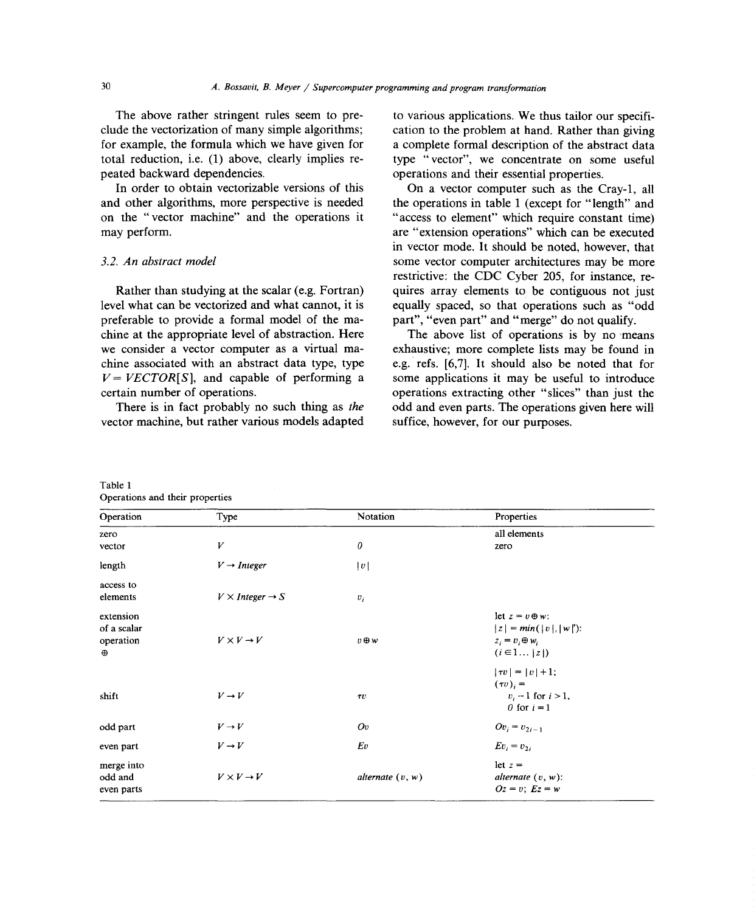total reduction, i.e. (1) above, clearly implies re-<br>peated backward dependencies.

In order to obtain vectorizable versions of this and other algorithms, more perspective is needed the operations in table 1 (except for "length" and on the "vector machine" and the operations it "access to element" which require constant time) may perform. are "extension operations" which can be executed

level what can be vectorized and what cannot, it is equally spaced, so that operations such as "odd preferable to provide a formal model of the ma-<br>part", "even part" and "merge" do not qualify. chine at the appropriate level of abstraction. Here The above list of operations is by no means we consider a vector computer as a virtual ma-<br>exhaustive; more complete lists may be found in chine associated with an abstract data type, type e.g. refs. [6,7]. It should also be noted that for  $V = VECTOR[S]$ , and capable of performing a some applications it may be useful to introduce certain number of operations. operations extracting other "slices" than just the

vector machine, but rather various models adapted suffice, however, for our purposes.

The above rather stringent rules seem to pre-<br>clude the vectorization of many simple algorithms:<br>cation to the problem at hand. Rather than giving clude the vectorization of many simple algorithms; cation to the problem at hand. Rather than giving for example, the formula which we have given for a complete formal description of the abstract data a complete formal description of the abstract data<br>type "vector", we concentrate on some useful perations and their essential properties.<br>On a vector computer such as the Crav-1, all

"access to element" which require constant time) in vector mode. It should be noted, however, that *3.2. An abstract model* some vector computer architectures may be more restrictive: the CDC Cyber 205, for instance, re-Rather than studying at the scalar (e.g. Fortran) quires array elements to be contiguous not just

There is in fact probably no such thing as *the* odd and even parts. The operations given here will

| Operation                                         | Type                             | Notation           | Properties                                                                                     |
|---------------------------------------------------|----------------------------------|--------------------|------------------------------------------------------------------------------------------------|
| zero                                              |                                  |                    | all elements                                                                                   |
| vector                                            | V                                | 0                  | zero                                                                                           |
| length                                            | $V \rightarrow$ Integer          | v                  |                                                                                                |
| access to<br>elements                             | $V \times Integer \rightarrow S$ | $v_i$              |                                                                                                |
| extension<br>of a scalar<br>operation<br>$\oplus$ | $V \times V \rightarrow V$       | $v \oplus w$       | let $z = v \oplus w$ :<br>$ z  = min( v ,  w )$ :<br>$z_i = v_i \oplus w_i$<br>$(i \in 1   z)$ |
| shift                                             | $V \rightarrow V$                | $\tau\upsilon$     | $ \tau v  =  v  + 1;$<br>$(\tau v)_i =$<br>$v_i - 1$ for $i > 1$ ,<br>0 for $i = 1$            |
| odd part                                          | $V \rightarrow V$                | Ov                 | $Ov_i = v_{2i-1}$                                                                              |
| even part                                         | $V \rightarrow V$                | Ev                 | $Ev_i = v_{2i}$                                                                                |
| merge into<br>odd and<br>even parts               | $V \times V \rightarrow V$       | alternate $(v, w)$ | let $z =$<br>alternate $(v, w)$ :<br>$Oz = v$ ; $Ez = w$                                       |

Table 1 Operations and their properties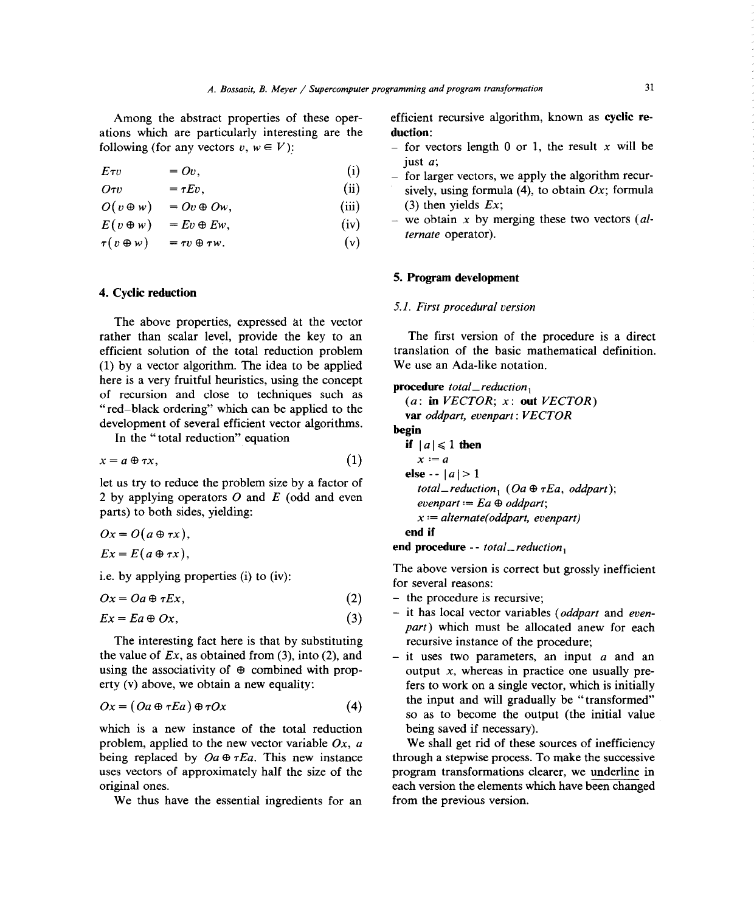ations which are particularly interesting are the **duction:**<br>following (for any vectors  $v, w \in V$ ): - for ve

$$
E\tau v = Ov, \tag{i}
$$

$$
O\tau v = \tau Ev, \tag{ii}
$$

 $O(v \oplus w) = Ov \oplus Ow,$  (iii) (3) then yields *Ex*;

$$
E(v \oplus w) = Ev \oplus Ew, \qquad \text{(iv)}
$$

 $\tau(v \oplus w) = \tau v \oplus \tau w.$  (v)

# **4. Cyclic reduction**

The above properties, expressed at the vector rather than scalar level, provide the key to an The first version of the procedure is a direct efficient solution of the total reduction problem translation of the basic mathematical definition. (1) by a vector algorithm. The idea to be applied We use an Ada-like notation. here is a very fruitful heuristics, using the concept **procedure**  $total\_reduction_1$  of recursion and close to techniques such as of recursion and close to techniques such as (a: **in** *VECTOR; x:* **out** *VECTOR)* **development of several efficient vector** algorithms. **begin**

In the "total reduction" equation  $if |a| \le 1$  **then** 

$$
x = a \oplus \tau x, \tag{1} \qquad \qquad x := a
$$

let us try to reduce the problem size by a factor of  $total\_reduction_1$  ( $Oa \oplus \tau Ea$ , *oddpart*); 2 by applying operators *O* and *E* (odd and even *evenpart*  $:= Ea \oplus \text{oddpart}$ ; parts) to both sides, yielding:

$$
Ox = O(a \oplus \tau x),
$$
 end if  
 
$$
Ex = E(a \oplus \tau x),
$$

i.e. by applying properties (i) to (iv):

$$
Ox = Oa \oplus \tau Ex, \tag{2} \qquad \qquad - \text{ the procedure is recursive};
$$

$$
Ex = Ea \oplus Ox,\tag{3}
$$

The interesting fact here is that by substituting the value of  $Ex$ , as obtained from (3), into (2), and the value of *Ex*, as obtained from (3), into (2), and  $\qquad$  — it uses two parameters, an input *a* and an using the associativity of  $\oplus$  combined with prop-<br>output *x*, whereas in practice one usually preusing the associativity of  $\oplus$  combined with prop-<br>erty (v) above, we obtain a new equality:<br>fers to work on a single vector, which is initially

$$
Ox = (Oa \oplus \tau Ea) \oplus \tau Ox \tag{4}
$$

which is a new instance of the total reduction being saved if necessary).<br>problem, applied to the new vector variable  $Ox$ ,  $a$  We shall get rid of these sources of inefficiency problem. applied to the new vector variable  $Ox$ ,  $a$  We shall get rid of these sources of inefficiency being replaced by  $Oa \oplus rEa$ . This new instance through a stepwise process. To make the successive being replaced by  $Oa \oplus \tau Ea$ . This new instance through a stepwise process. To make the successive uses vectors of approximately half the size of the program transformations clearer, we underline in uses vectors of approximately half the size of the original ones.

We thus have the essential ingredients for an

Among the abstract properties of these oper- efficient recursive algorithm, known as cyclic **re-**

- $-$  for vectors length 0 or 1, the result *x* will be just *a;*
- for larger vectors, we apply the algorithm recursively, using formula  $(4)$ , to obtain  $Ox$ ; formula
- $-$  we obtain x by merging these two vectors *(alternate* operator).

# 5. **Program development**

## 5.1. First procedural version

 $var$  oddpart, *evenpart*: *VECTOR* **else**  $|a| > 1$  $x := alternate(oddpart, even part)$ 

**end procedure** -- *total\_reduction*<sub>1</sub>

The above version is correct but grossly inefficient<br>for several reasons:

- $-$  the procedure is recursive;
- $Ex = Ea \oplus Ox$ ,  $(3)$   $-$  <sup>1t</sup> has local vector variables *(oddpart* and *evenpart*) which must be allocated anew for each recursive instance of the procedure;
- fers to work on a single vector, which is initially the input and will gradually be "transformed"  $Ox = (Oa \oplus \tau Ba) \oplus \tau Ox$  (4) so as to become the output (the initial value

each version the elements which have been changed<br>from the previous version.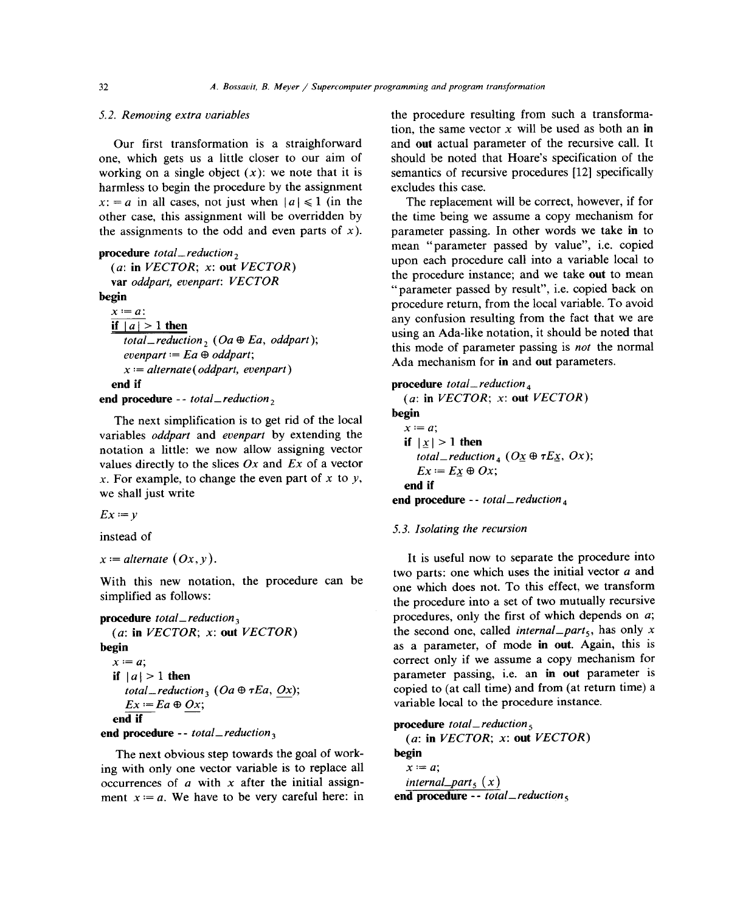one, which gets us a little closer to our aim of should be noted that Hoare's specification of the working on a single object  $(x)$ : we note that it is semantics of recursive procedures [12] specifically harmless to begin the procedure by the assignment excludes this case.  $x: = a$  in all cases, not just when  $|a| \le 1$  (in the The replacement will be correct, however, if for other case, this assignment will be overridden by the time being we assume a copy mechanism for the assignments to the odd and even parts of  $x$ ). parameter passing. In other words we take in to

if  $|a| > 1$  then evenpart  $:=$  *Ea*  $\oplus$  *odapart*;<br>  $x :=$  *alternate*(*oddpart*, *evenpart*) Ada mechanism for in and out parameters.  $x := alternate(oddpart, even part)$ <br>**end if** 

```
end procedure -- total\_reduction<sub>2</sub> (a: x begin
```
The next simplification is to get rid of the local<br>variables *oddpart* and *evenpart* by extending the  $\frac{x}{e}$ notation a little: we now allow assigning vector values directly to the slices Ox and Ex of a vector<br>
x. For example, to change the even part of x to y,<br>
end if  $\frac{d}{dx}$ . For example, to enange the even part of  $x$  to  $y$ , and if we shall just write

 $Ex := y$ 

instead of *5.3. Isolating the recursion*

```
\frac{EX}{1!} Ea \oplus Ox;<br>\frac{EX}{1!} \oplus Ox;
end if<br>end procedure -- total_reduction<sub>3</sub>
procedure total_reduction5
end procedure - - total_reduction3 (a: in VECTOR; x: out VECTOR)
```
The next obvious step towards the goal of work-<br>begin with only one vector variable is to replace all  $x := a$ ; ing with only one vector variable is to replace all  $x := a$ ;<br>occurrences of *a* with *x* after the initial assign-*internal\_part<sub>5</sub>* (*x*) occurrences of *a* with *x* after the initial assign-<br>ment  $x := a$ . We have to be very careful here: in and **procedure** -- *total\_reduction*, ment  $x = a$ . We have to be very careful here: in

5.2. Removing extra variables the procedure resulting from such a transformation, the same vector  $x$  will be used as both an **in** Our first transformation is a straighforward and out actual parameter of the recursive call. It

parameter passing. In other words we take in to **procedure** total\_reduction<sub>2</sub> mean "parameter passed by value", i.e. copied upon each procedure call into a variable local to  $(a:$  in VECTOR; x: out VECTOR) (a:  $\text{in } r \text{ ECLOR}$ ) is the procedure instance; and we take out to mean variable local variable local to mean variable local to mean variable local to  $\text{in } r \text{ ECLOR}$ **var** *oddpart*, *evenpart: vECTOR* " parameter passed by result", i.e. copied back on begin **begin b procedure** return, from the local variable. To avoid  $x := a$ : any confusion resulting from the fact that we are  $\frac{|a|}{|a|}$  if  $\frac{1}{|a|}$  if  $\frac{1}{|a|}$  total reduction, (Oa  $\oplus$  Ea, oddpart);<br>total reduction, (Oa  $\oplus$  Ea, oddpart); *total\_reduction*<sub>2</sub> (Oa  $\sigma$  *Ea*, *odapart*);<br>
this mode of parameter passing is *not* the normal evenpart = Ea  $\oplus$  *oddpart*;

> **endation i i i i i i i i** *i i i i i i i i i i i i i i i i i i i i i i i i i i i i i i* if  $|x| > 1$  then **end procedure** -- *total\_reduction*<sub>4</sub>

### 5.3. Isolating the recursion

 $x :=$  alternate  $(0x, y)$ .<br> **It** is useful now to separate the procedure into<br>
two parts: one which uses the initial vector a and With this new notation, the procedure can be one which does not. To this effect, we transform<br>simplified as follows: the procedure into a set of two mutually recursive **procedure** *total\_reduction*<sub>3</sub> procedures, only the first of which depends on *a*;<br>discussed are selled internal, next, becomes only x *(a:* **in** *VECTOR; x:* **out** *VECTOR)* the second one, called *internal\_part5,* has only *x* **begin** as a parameter, of mode **in** out. Again, this is correct only if we assume a copy mechanism for if  $|a| > 1$  then parameter passing, i.e. an in out parameter is *iotal\_reduction***,**  $(Oa \oplus \tau Ea, Ox)$ **; copied to (at call time) and from (at return time) a** *total\_reduction*<sub>3</sub> (*Oa*  $\oplus$  *TEa*, *Ox*);<br>*T*<sub>n</sub> *T*<sub>n</sub>  $\oplus$  *O*<sub>c</sub>  $\oplus$  *O*<sub>c</sub>  $\oplus$  *O*<sub>c</sub> *O*<sub>c</sub> *O*<sub>c</sub> *O*<sub>c</sub> *O*<sub>c</sub> *O*<sub>c</sub> *O*<sub>c</sub> *O*<sub>c</sub> *O*<sub>c</sub> *O*<sub>c</sub> *O*<sub>c</sub> *O*<sub>c</sub> *O*<sub>c</sub> *O*<sub>c</sub> *O*<sub>c</sub> *O*<sub>c</sub> *O*<sub>c</sub> *O*<sub>c</sub> *O*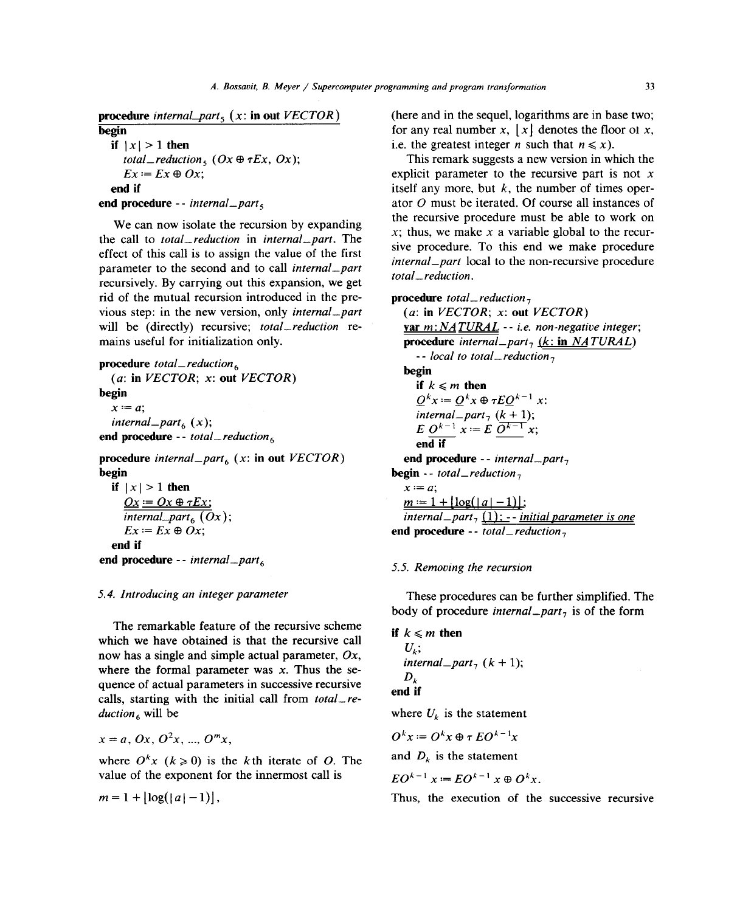the call to *total\_ reduction* in *internal\_part.* The parameter to the second and to call *internal part internal part total\_reduction. total\_reduction.* recursively. By carrying out this expansion, we get **rid** of the mutual recursion introduced in the pre-<br> $\frac{1}{2}$  **procedure** total\_reduction<sub>7</sub> vious step: in the new version, only *internal part* (a: **in** *VECTOR*; *x*: **out** *VECTOR*)<br>will be (directly) recursive; *total reduction* re-<br>**var** *m*: *NATURAL* -- *i.e. non-negative integer*; will be (directly) recursive; *total\_reduction* re-<br>mains useful for initialization only.

**procedure** *total\_reduction6*

(a: in *VECTOR*; *x*: out *VECTOR*) **if**  $k \le m$  then<br> **begin**  $Q^k x := Q^k x \oplus \tau EQ^{k-1} x$ :  $\overline{Q}^* x := \overline{Q}$ *7 internal\_part<sub>6</sub>* (*x*); *internal\_part<sub>6</sub>* (*x*); *E*O<sub>*k*</sub> - *I*<sub>*x*</sub> *i*<sub>*x*</sub> *i*<sub>*x*</sub> *i*<sub>*x*</sub> *i*<sub>*x*</sub> *i*<sub>*x*</sub> *i*<sub>*x*</sub> *i*<sub>*x*</sub> *i*<sub>*x*</sub> *i*<sub>*x*</sub> *i*<sub>*x*</sub> *i*<sub>*x*</sub> *i*<sub>*x*</sub> *i i*<sub>*x*</sub> *i i <i>i*<sub>*x*</sub> *i* **procedure** *internal*<sub>-</sub>*part<sub>6</sub>* (*x*: **in** out *VECTOR*) **begin** 

if 
$$
|x| > 1
$$
 then

\n
$$
\begin{array}{ll}\n\frac{Ox}{x} &= Ox \oplus \tau Ex, \\
\frac{On}{internal\_part_{6}}(Ox); \\
\hline\nEx := Ex \oplus Ox; \\
\end{array}
$$
\nend *procedure - internal\\_part\_{6}*

\nend *procedure - internal\\_part\_{6}*

\nend *procedure - internal\\_part\_{6}*

The remarkable feature of the recursive scheme<br>which we have obtained is that the recursive call  $\begin{cases} i \neq k \\ i \end{cases}$  **if**  $k \leq m$  then **h h h h s i h i c c** *<b>c <b>c c c c t t t c c c c c c c c c c c c c c c c c c c c c c* where the formal parameter was  $x$ . Thus the sequence of actual parameters in successive recursive quence of actual parameters in successive recursive<br>calls, starting with the initial call from *total* recalls, starting with the initial call from *total*<sub>n</sub>.  $\frac{duction}{b}$  where  $U_k$  is the statement

 $x = a, 0x, 0<sup>2</sup>x, ..., 0<sup>m</sup>x$ 

where  $O^{k_x}(k \ge 0)$  is the k<sub>th</sub> iterate of O. The and  $D_k$  is the statement where  $U \times (k \ge 0)$  is the kth iterate of  $U$ . The  $\sim$ 

$$
m=1+\left\lfloor \log(|a|-1)\right\rfloor,
$$

**procedure** internal part<sub>5</sub> (x: **in** out *VECTOR*) (here and in the sequel, logarithms are in base two;<br>for any real number x, |x| denotes the floor of x, **begin** for any real number *x*,  $\lfloor x \rfloor$  denotes the floor of *x*, if  $\lfloor x \rfloor > 1$  then i.e. the greatest integer *n* such that  $n \le x$ ).

*i* **total**  $\angle$  *reduction*  $\leq$  (Ox  $\oplus$   $\tau Ex$ , Ox); This remark suggests a new version in which the *total\_reduction<sub>5</sub>* (*Ox*  $\oplus$  *rEx*, *Ox*); This remark suggests a new version in which the  $E x := E x \oplus Ox;$  explicit parameter to the recursive part is not *x* **end if** itself any more, but *k*, the number of times oper-<br>denoted by a set of the channel of course all instances of **end procedure** -- *internal part<sub>5</sub>* ator *0* must be iterated. Of course all instances of a procedure research in the spanning magnetic must be able to work on We can now isolate the recursion by expanding<br>call to *total\_reduction* in *internal\_part*. The  $\frac{1}{x}$ ; thus, we make *x* a variable global to the recur $internal$  part local to the non-recursive procedure.

```
procedure internal_part<sub>7</sub> (k: in NATURAL)
                                                                    -- local to total_reduction<sub>7</sub>
                                                                 begin<br>if k \leq m then
                                                                   internal part<sub>7</sub> (k + 1);
                                                                end if<br>end procedure -- internal _part<sub>7</sub>
begin \text{-} total\_reduction_7<br>x \geq 1 then x \equiv a;
                                                                 m := 1 + |\log(|a| - 1)|;internal\_part_7 (1): -- initial parameter is one
                                                              \frac{1}{2} end procedure -- total_reduction<sub>7</sub>
```
### 5.5. Removing the recursion *5.5. Removing the recursion*

*5.4. Introducing an integer parameter* These procedures can be further simplified. The body of procedure *internal*  $part<sub>7</sub>$  is of the form

```
D_k<br>end if
```

$$
O^k x := O^k x \oplus \tau \, EO^{k-1} x
$$

$$
EO^{k-1} x := EO^{k-1} x \oplus O^k x.
$$

Thus, the execution of the successive recursive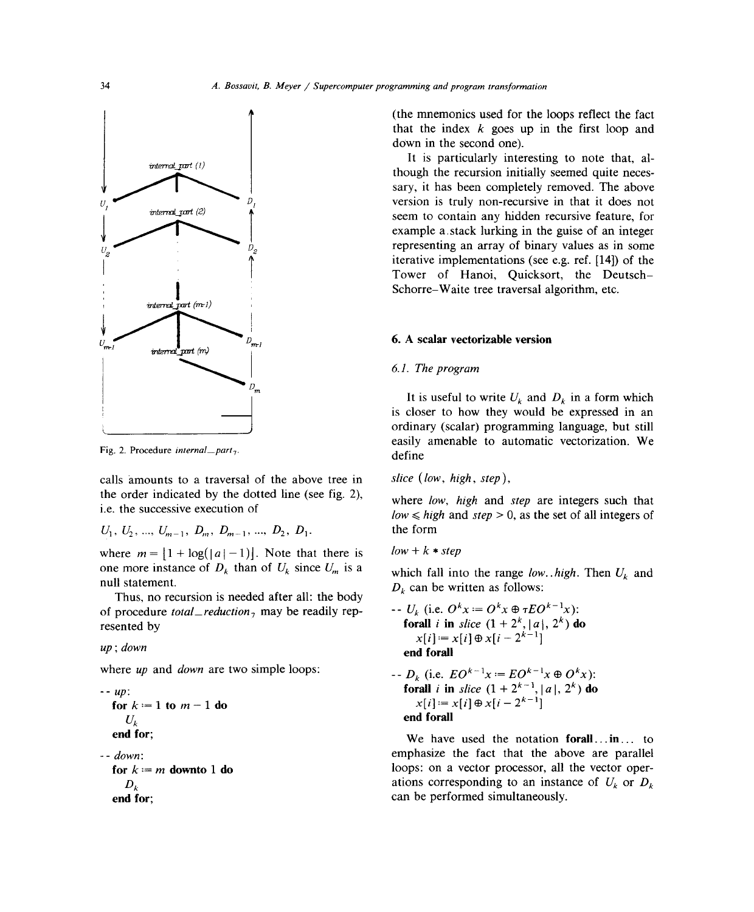

Fig. 2. Procedure *iniernal part7.* define

calls amounts to a traversal of the above tree in slice (low, high, step), the order indicated by the dotted line (see fig. 2), i.e. the successive execution of

 $U_1, U_2, \ldots, U_{m-1}, D_m, D_{m-1}, \ldots, D_2, D_1.$ 

where  $m = [1 + \log(|a| - 1)]$ . Note that there is  $low + k * step$ <br>one more instance of  $D_k$  than of  $U_k$  since  $U_m$  is a which fall int one more instance of  $D_k$  than of  $U_k$  since  $U_m$  is a which fall into the range *low.* . *high*. Then  $U_k$  and null statement.

Thus, no recursion is needed after all: the body<br>of procedure *total*  $_{\text{reduction}}$  may be readily repof procedure *total reduction<sub>7</sub>* may be readily rep-<br>forall *i* in clien (1, 1, 2<sup>k</sup> kel  $\frac{1}{2}$  for  $\frac{1}{2}$  **i**  $\frac{1}{2}$  **i**  $\frac{1}{2}$  **i**  $\frac{1}{2}$  **i**  $\frac{1}{2}$  **i**  $\frac{1}{2}$  **i**  $\frac{1}{2}$  **i**  $\frac{1}{2}$  **i**  $\frac{1}{2}$  **i**  $\frac{1}{2}$  **i**  $\frac{1}{2}$  **i**  $\frac{1}{2}$  **i**  $\frac{1}{2}$  **i**  $\frac{1}{2}$  **i**  $\frac{1}{2}$ 

where *up* and *down* are two simple loops:

| $up$ :                     | $top$ :    | $top$ |
|----------------------------|------------|-------|
| $for k := 1$ to $m - 1$ do | $x[i] :=$  |       |
| $U_k$                      | $end$ for; |       |
| $end$                      | $We$ have  |       |

(the mnemonics used for the loops reflect the fact that the index *k* goes up in the first loop and down in the second one).

 $v_{\text{thermal\_port}}(l)$  It is particularly interesting to note that, although the recursion initially seemed quite necessary, it has been completely removed. The above version is truly non-recursive in that it does not seem to contain any hidden recursive feature, for example a stack lurking in the guise of an integer  $U_{2}$  example representing an array of binary values as in some iterative implementations (see e.g. ref. [14]) of the Tower of Hanoi, Quicksort, the Deutsch-

### 6. A scalar vectorizable version

# 6.1. The program

 $\int_{m}^{D_m}$  It is useful to write *U<sub>k</sub>* and *D<sub>k</sub>* in a form which is closer to how they would be expressed in an \_\_\_\_\_\_\_\_\_\_\_\_\_\_\_\_\_\_\_\_\_\_\_ ordinary (scalar) programming language, but still easily amenable to automatic vectorization. We

where low, high and step are integers such that  $low \leq high$  and  $step > 0$ , as the set of all integers of the form

 $D_k$  can be written as follows:

*1x):* **2k,** lal, *2k)* **do**  $x[i] - x[i] \oplus x[i-2]$ up; down **end forall**

where *up* and *down* are two simple loops:  
\n-- *up*:  
\n- *up*:  
\nfor 
$$
k = 1
$$
 to  $m - 1$  do  
\n*U<sub>k</sub>*  
\n+ *up*:  
\n**for all** *i* in *slice*  $(1 + 2^{k-1}, |a|, 2^k)$  do  
\n $x[i] := x[i] \oplus x[i - 2^{k-1}]$   
\n**end for all**

We have used the notation forall...in... to -- down: emphasize the fact that the above are parallel **for**  $k := m$  **downto 1 do** loops: on a vector processor, all the vector oper-*Dk* ations corresponding to an instance of *Uk* or *Dk* **end for**; can be performed simultaneously.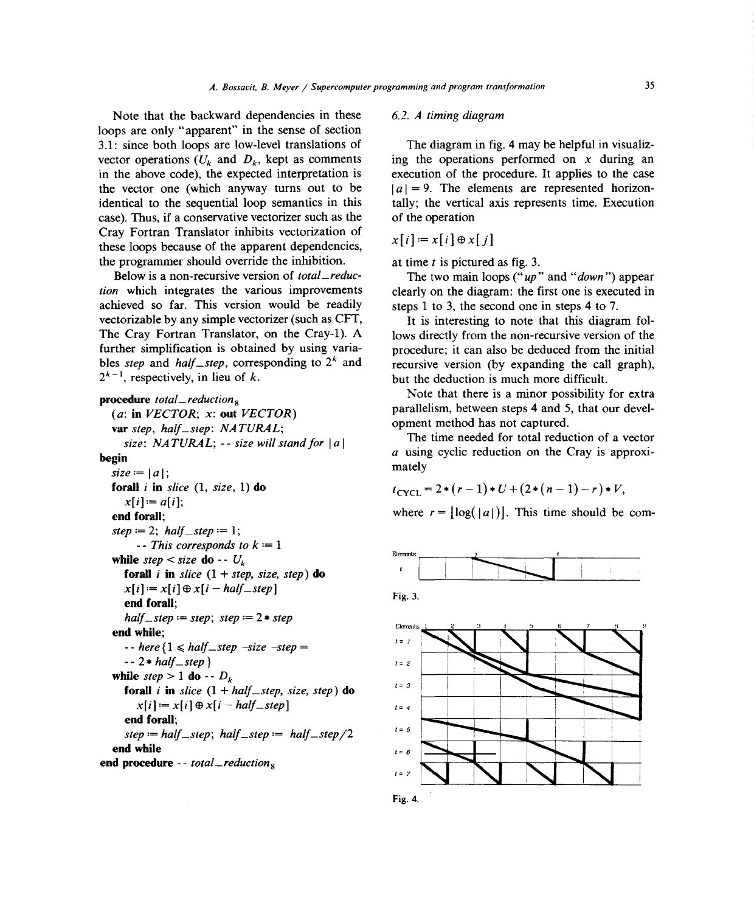Note that the backward dependencies in these *6.2. A timing diagram* loops are only "apparent" in the sense of section 3.1: since both loops are low-level translations of vector operations  $(U_k$  and  $D_k$ , kept as comments ing the operations performed on *x* during an in the above code), the expected interpretation is execution of the procedure. It applies to the case the vector one (which anyway turns out to be  $|a| = 9$ . The elements are represented horizonidentical to the sequential loop semantics in this tally; the vertical axis represents time. Execution case). Thus, if a conservative vectorizer such as the of the operation Cray Fortran Translator inhibits vectorization of  $x[i] := x[i] \oplus x[j]$ these ioops because of the apparent dependencies, the programmer should override the inhibition.  $\alpha$  at time *t* is pictured as fig. 3.

Below is a non-recursive version of *total\_reduc-* The two main ioops ("up" and "down ") appear *tion* which integrates the various improvements clearly on the diagram: the first one is executed in achieved so far. This version would be readily steps <sup>1</sup> to 3, the second one in steps 4 to 7. vectorizable by any simple vectorizer (such as CFT, It is interesting to note that this diagram folbles *step* and *half\_step*, corresponding to  $2^k$  and recursive version (by expanding the call graph),  $2^{k-1}$ , respectively, in lieu of *k*. but the deduction is much more difficult.

```
var step, half_step: NATURAL; parallelism, between steps 4 and 5, tep; NATURAL;
   var step, half_step: NATURAL; \cdot size: NATURAL; \cdot size will stand for |a| The time needed for total reduction of a vector
size: NATURAL; -- size will stand for |a| begin
   forall i in slice (1, size, 1) do t_{\text{CYCL}} = 2 * (r - 1) * U + (2 * (n - 1) - r) * V,
  x[i] = a[i];<br>end forall;
   end forall; where r = [log( a I )J. This time should be corn-
  step := 2; half\_step := 1;
       - This corresponds to k := 1while step < size do -- U_kforall i in slice (1 + step, size, step) do
    x[i] := x[i] \oplus x[i - \text{half\_step}]Fig. 3. end forall;<br>end forall;
     half\_step := step; step := 2 * stepend while;
     - - here { 1 ~ half_step size step = _________________
  -2 * half\_step}<br>while step > 1 do - D_kfor all i in \mathbf{F} is \mathbf{F} in \mathbf{F} in \mathbf{F} in \mathbf{F} is \mathbf{F} and \mathbf{F} is the step step step.
   stice (1 + i)x[i] := x[i] \oplus x[i - \text{half\_step}]<br>end forall:
     step := half\_step; half\_step := half\_step / 2endstepwhile := half_step; half_step := half_step/2 = 6 ~ ______________________
end procedure -- total_reduction<sub>8</sub> = <i>1 = 7<sup>2</sup>
```
The diagram in fig. 4 may be helpful in visualiz-

The Cray Fortran Translator, on the Cray-1). A lows directly from the non-recursive version of the further simplification is obtained by using varia-<br>procedure; it can also be deduced from the initial

**Procedure** *total\_reduction*<sub>8</sub><br>(*a*: **in** *VECTOR*; *x*: **out** *VECTOR*) **parallelism**, between steps 4 and 5, that our devel-

**begin a** using cyclic reduction on the Cray is approximately **contract on the Cray is approximately**  $\frac{1}{2}$ mately

$$
t_{\text{CYCL}} = 2 * (r-1) * U + (2 * (n-1) - r) * V,
$$







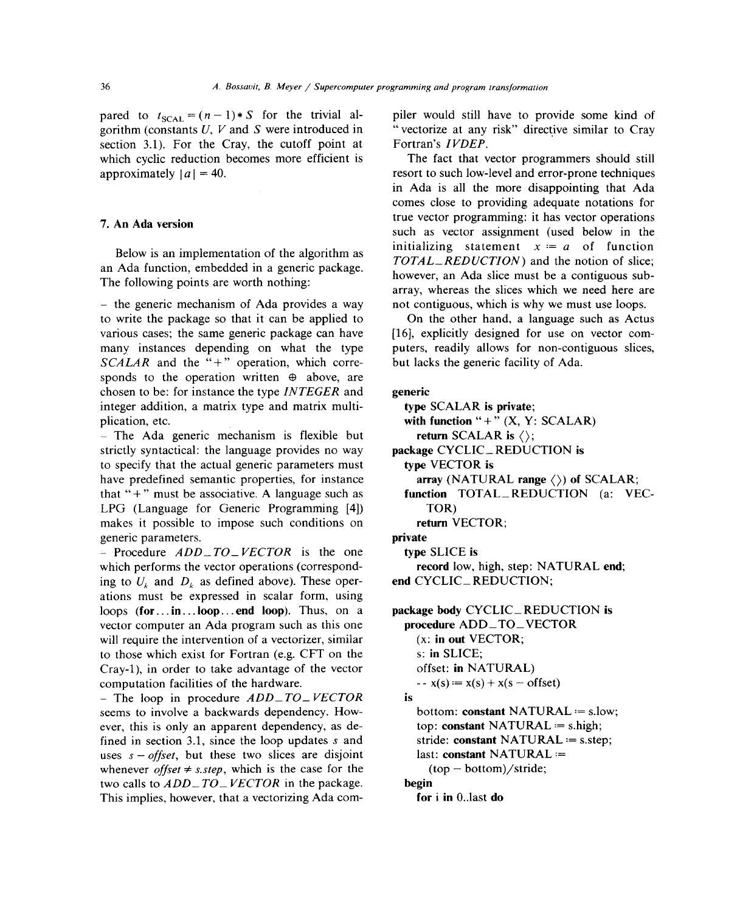gorithm (constants  $U$ ,  $V$  and  $S$  were introduced in "vectorize at any section 3.1). For the Cray, the cutoff point at Fortran's *IVDEP*. section 3.1). For the Cray, the cutoff point at which cyclic reduction becomes more efficient is The fact that vector programmers should still approximately  $|a| = 40$ . resort to such low-level and error-prone techniques

The following points are worth nothing:

 $-$  the generic mechanism of Ada provides a way to write the package so that it can be applied to On the other hand, a language such as Actus various cases; the same generic package can have [16], explicitly designed for use on vector commany instances depending on what the type puters, readily allows for non-contiguous slices, S*CALAR* and the **"+"** operation, which corre- but lacks the generic facility of Ada. sponds to the operation written  $\oplus$  above, are chosen to be: for instance the type *INTEGER* and generic integer addition, a matrix type and matrix multi-<br>type SCALAR is private; plication, etc. with function **"+"** (X, Y: SCALAR)

- The Ada generic mechanism is flexible but return SCALAR is  $\langle \rangle$ ; strictly syntactical: the language provides no way package CYCLIC\_REDUCTION is to specify that the actual generic parameters must type VECTOR is have predefined semantic properties, for instance  $\frac{array}{(NATURAL \cdot range \langle)}$  of SCALAR; that **"+"** must be associative. A language such as function TOTAL\_ REDUCTION (a: VEC-LPG (Language for Generic Programming [4]) TOR) makes it possible to impose such conditions on return VECTOR; generic parameters. **private** 

- Procedure *ADD\_TO\_VECTOR* is the one type SLICE is which performs the vector operations (correspond- record low, high, step: NATURAL end; ing to  $U_k$  and  $D_k$  as defined above). These oper- end CYCLIC\_REDUCTION; ations must be expressed in scalar form, using loops (for...in...loop...end loop). Thus, on a package body CYCLIC\_REDUCTION is vector computer an Ada program such as this one **procedure ADD\_TO\_VECTOR** will require the intervention of a vectorizer, similar (x: in out VECTOR; to those which exist for Fortran (e.g. CFT on the s: in SLICE; Cray-i), in order to take advantage of the vector offset: **in NATURAL)** computation facilities of the hardware.  $x(s) = x(s) + x(s - \text{offset})$ 

- The loop in procedure  $ADD\_TO\_ VECTOR$  is seems to involve a backwards dependency. How- bottom: **constant** NATURAL  $:=$  s.low; ever, this is only an apparent dependency, as de-<br>top: **constant NATURAL**  $:=$  s.high; fined in section 3.1, since the loop updates *s* and stride: constant NATURAL  $:=$  s.step; uses  $s - \text{offset}$ , but these two slices are disjoint last: constant NATURAL  $:=$ whenever *offset*  $\neq$  *s.step*, which is the case for the (top - bottom)/stride; two calls to  $ADD\_TO\_VECTOR$  in the package. begin This implies, however, that a vectorizing Ada com- **for i in** 0..last **do** 

pared to  $t_{\text{SCAL}} = (n-1)*S$  for the trivial al-<br>piler would still have to provide some kind of<br>gorithm (constants U, V and S were introduced in "vectorize at any risk" directive similar to Crav

in Ada is all the more disappointing that Ada comes close to providing adequate notations for true vector programming: it has vector operations 7. An Ada version such as vector assignment (used below in the initializing statement  $x = a$  of function Below is an implementation of the algorithm as  $TOTAL$  *REDUCTION*) and the notion of slice; however, an Ada slice must be a contiguous subarray, whereas the slices which we need here are not contiguous, which is why we must use loops.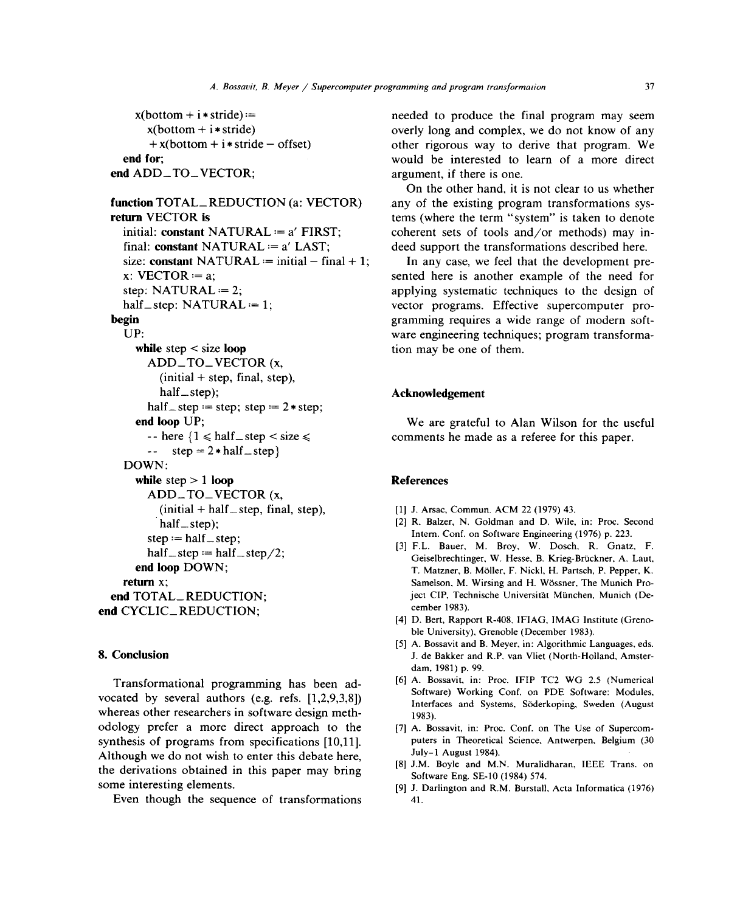```
size: constant NATURAL := initial - final + 1; In any case, we feel that the development pre-
     while step < size loop tion may be one of them.
       ADD_TO_VECTOR (x,
         (initial + step, final, step),
         half_ step); Acknowledgement
       half \_\ step := step; step := 2 \ast step;
     end loop UP; we are grateful to Alan Wilson for the useful
       \leftarrow step = 2 * half _ step }
   DOWN:
     while step > 1 loop References
       ADD_TO VECTOR (x,
         (i\nu) (initial + half step, final, step), [1] J. Arsac, Commun. ACM 22 (1979) 43.
       step := half step;<br>\text{Inter. Conf. on Software Engineering (1976) p. 223.}end CYCLIC_REDUCTION;
```
vocated by several authors (e.g. refs.  $[1,2,9,3,8]$ ) whereas other researchers in software design meth- 1983). odology prefer a more direct approach to the [7] A. Bossavit, in: Proc. Conf. on The Use of Supercomsynthesis of programs from specifications [10,11]. puters in Theoretical Science, Antwerpen, Belgium (30<br>Although we do not wish to enter this debate here  $J_{\text{uly}-1}$  August 1984). Although we do not wish to enter this debate here,<br>
[8] J.M. Boyle and M.N. Muralidharan, IEEE Trans. on the derivations obtained in this paper may bring Software Eng. SE-10 (1984) 574. some interesting elements. [9] J. Darlington and R.M. Burstall, Acta Informatica (1976)

Even though the sequence of transformations 41.

 $x(bottom + i* stride) :=$  needed to produce the final program may seem  $x(bottom + i* stride)$  overly long and complex, we do not know of any + x(bottom + i \* stride **—** offset) other rigorous way to derive that program. We **end for;** would be interested to learn of a more direct **end** ADD<sub>-TO-</sub>VECTOR; argument, if there is one.

On the other hand, it is not clear to us whether **function** TOTAL\_REDUCTION (a: VECTOR) any of the existing program transformations sys**return** VECTOR **is tems** (where the term "system" is taken to denote **initial: constant** NATURAL *:=* a' FIRST; coherent sets of tools and/or methods) may in**final: constant** NATURAL *:=* a' LAST; deed support the transformations described here.

x: VECTOR *:*= a; sented here is another example of the need for step:  $NATURAL := 2$ ; applying systematic techniques to the design of half\_step: NATURAL *:=* 1; vector programs. Effective supercomputer pro**begin** begin gramming requires a wide range of modern soft-UP: ware engineering techniques; program transforma-

 $\text{-}$  here  $\{1 \leq \text{half\_step} < \text{size} \leq \text{components} \text{ the made as a reference for this paper.}$ 

- 
- half\_step); [2] R. Balzer, N. Goldman and D. Wile, in: Proc. Second
- **p** : **p** = **p** = **p** = **p** = **p** = **p** = **p** = **p** = **p** = **p** = **p** = **p** = **p** = **p** = **p** = **p** = **p** = **p** = **p** = **p** = **p** = **p** = **p** = **p** = **p** = **p** = **p** = **p** = **p** = **p** = **p** = **p** = **p** = **p** = **p** = **p** = **end loop** DOWN;<br>T. Matzner, B. Möller, F. Nickl, H. Partsch, P. Pepper, K. **return x**; Samelson, M. Wirsing and H. Wössner, The Munich Pro**end TOTAL\_REDUCTION**;<br> **end TOTAL\_REDUCTION**:<br> **eember 1983**).<br> **eember 1983**).
	- [4] D. Bert, Rapport R-408, IFIAG, IMAG Institute (Grenoble University). Grenoble (December 1983).
- [5] A. Bossavit and B. Meyer, in: Algorithmic Languages. eds. 8. Conclusion J. de Bakker and R.P. van Vliet (North-Holland, Amsterdam, 1981) p. 99.
	- Transformational programming has been ad-<br>
	[6] A. Bossavit, in: Proc. IFIP TC2 WG 2.5 (Numerical<br>
	Software) Working Conf. on PDE Software: Modules, Interfaces and Systems, Soderkoping, Sweden (August
		-
		-
		-